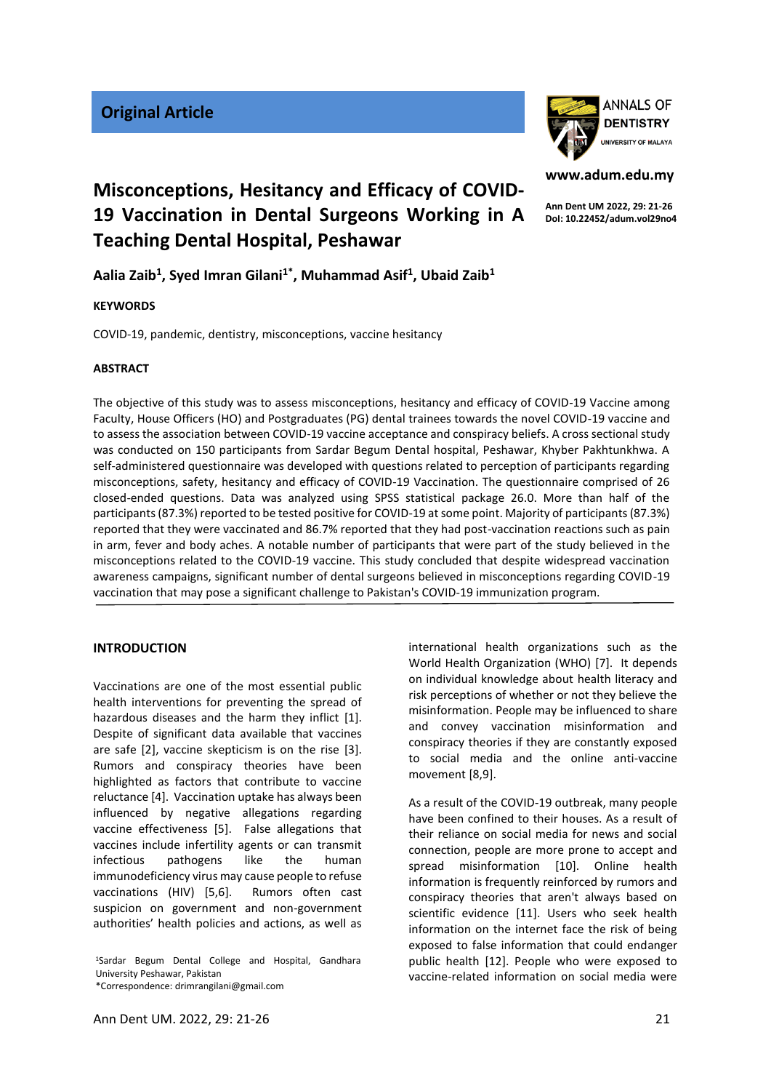

# **www.adum.edu.my**

**Ann Dent UM 2022, 29: 21-26 DoI: 10.22452/adum.vol29no4**

# **Misconceptions, Hesitancy and Efficacy of COVID-19 Vaccination in Dental Surgeons Working in A Teaching Dental Hospital, Peshawar**

# **Aalia Zaib<sup>1</sup> , Syed Imran Gilani1\* , Muhammad Asif<sup>1</sup> , Ubaid Zaib<sup>1</sup>**

#### **KEYWORDS**

COVID-19, pandemic, dentistry, misconceptions, vaccine hesitancy

#### **ABSTRACT**

The objective of this study was to assess misconceptions, hesitancy and efficacy of COVID-19 Vaccine among Faculty, House Officers (HO) and Postgraduates (PG) dental trainees towards the novel COVID-19 vaccine and to assess the association between COVID-19 vaccine acceptance and conspiracy beliefs. A cross sectional study was conducted on 150 participants from Sardar Begum Dental hospital, Peshawar, Khyber Pakhtunkhwa. A self-administered questionnaire was developed with questions related to perception of participants regarding misconceptions, safety, hesitancy and efficacy of COVID-19 Vaccination. The questionnaire comprised of 26 closed-ended questions. Data was analyzed using SPSS statistical package 26.0. More than half of the participants (87.3%) reported to be tested positive for COVID-19 at some point. Majority of participants (87.3%) reported that they were vaccinated and 86.7% reported that they had post-vaccination reactions such as pain in arm, fever and body aches. A notable number of participants that were part of the study believed in the misconceptions related to the COVID-19 vaccine. This study concluded that despite widespread vaccination awareness campaigns, significant number of dental surgeons believed in misconceptions regarding COVID-19 vaccination that may pose a significant challenge to Pakistan's COVID-19 immunization program.

# **INTRODUCTION**

Vaccinations are one of the most essential public health interventions for preventing the spread of hazardous diseases and the harm they inflict [1]. Despite of significant data available that vaccines are safe [2], vaccine skepticism is on the rise [3]. Rumors and conspiracy theories have been highlighted as factors that contribute to vaccine reluctance [4]. Vaccination uptake has always been influenced by negative allegations regarding vaccine effectiveness [5]. False allegations that vaccines include infertility agents or can transmit infectious pathogens like the human immunodeficiency virus may cause people to refuse vaccinations (HIV) [5,6]. Rumors often cast suspicion on government and non-government authorities' health policies and actions, as well as

<sup>1</sup>Sardar Begum Dental College and Hospital, Gandhara University Peshawar, Pakistan \*Correspondence: drimrangilani@gmail.com

Ann Dent UM. 2022, 29: 21-26 21

international health organizations such as the World Health Organization (WHO) [7]. It depends on individual knowledge about health literacy and risk perceptions of whether or not they believe the misinformation. People may be influenced to share and convey vaccination misinformation and conspiracy theories if they are constantly exposed to social media and the online anti-vaccine movement [8,9].

As a result of the COVID-19 outbreak, many people have been confined to their houses. As a result of their reliance on social media for news and social connection, people are more prone to accept and spread misinformation [10]. Online health information is frequently reinforced by rumors and conspiracy theories that aren't always based on scientific evidence [11]. Users who seek health information on the internet face the risk of being exposed to false information that could endanger public health [12]. People who were exposed to vaccine-related information on social media were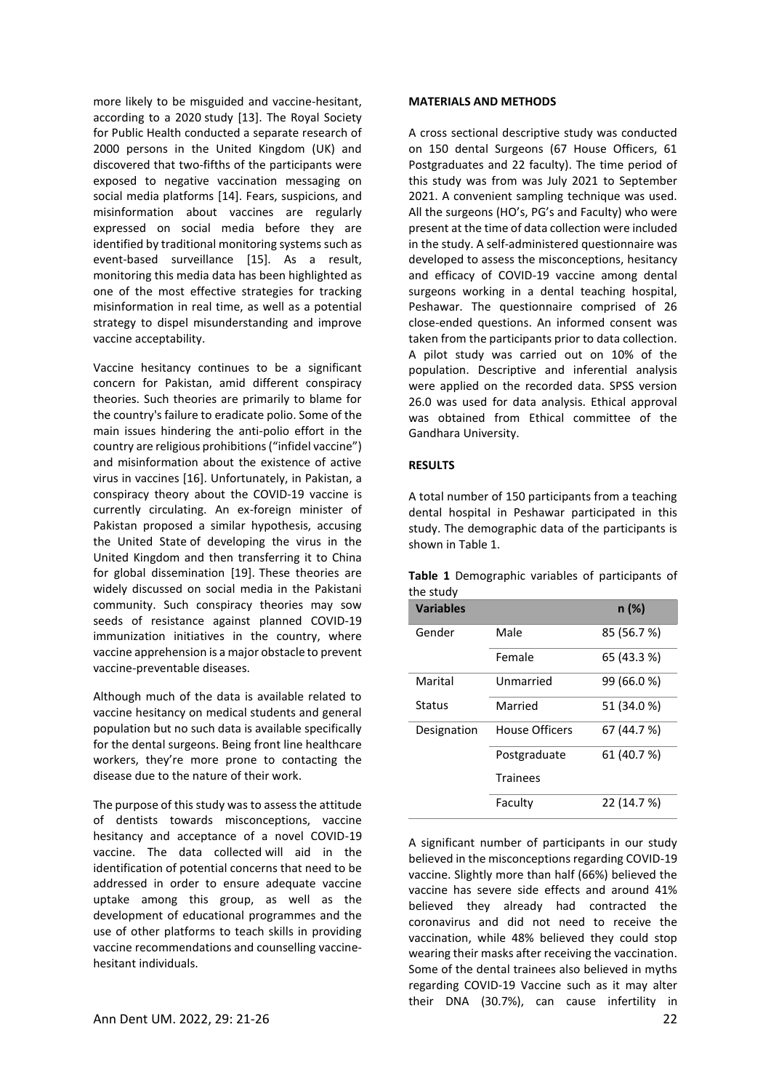more likely to be misguided and vaccine-hesitant, according to a 2020 study [13]. The Royal Society for Public Health conducted a separate research of 2000 persons in the United Kingdom (UK) and discovered that two-fifths of the participants were exposed to negative vaccination messaging on social media platforms [14]. Fears, suspicions, and misinformation about vaccines are regularly expressed on social media before they are identified by traditional monitoring systems such as event-based surveillance [15]. As a result, monitoring this media data has been highlighted as one of the most effective strategies for tracking misinformation in real time, as well as a potential strategy to dispel misunderstanding and improve vaccine acceptability.

Vaccine hesitancy continues to be a significant concern for Pakistan, amid different conspiracy theories. Such theories are primarily to blame for the country's failure to eradicate polio. Some of the main issues hindering the anti-polio effort in the country are religious prohibitions ("infidel vaccine") and misinformation about the existence of active virus in vaccines [16]. Unfortunately, in Pakistan, a conspiracy theory about the COVID-19 vaccine is currently circulating. An ex-foreign minister of Pakistan proposed a similar hypothesis, accusing the United State of developing the virus in the United Kingdom and then transferring it to China for global dissemination [19]. These theories are widely discussed on social media in the Pakistani community. Such conspiracy theories may sow seeds of resistance against planned COVID-19 immunization initiatives in the country, where vaccine apprehension is a major obstacle to prevent vaccine-preventable diseases.

Although much of the data is available related to vaccine hesitancy on medical students and general population but no such data is available specifically for the dental surgeons. Being front line healthcare workers, they're more prone to contacting the disease due to the nature of their work.

The purpose of this study was to assess the attitude of dentists towards misconceptions, vaccine hesitancy and acceptance of a novel COVID-19 vaccine. The data collected will aid in the identification of potential concerns that need to be addressed in order to ensure adequate vaccine uptake among this group, as well as the development of educational programmes and the use of other platforms to teach skills in providing vaccine recommendations and counselling vaccinehesitant individuals.

#### **MATERIALS AND METHODS**

A cross sectional descriptive study was conducted on 150 dental Surgeons (67 House Officers, 61 Postgraduates and 22 faculty). The time period of this study was from was July 2021 to September 2021. A convenient sampling technique was used. All the surgeons (HO's, PG's and Faculty) who were present at the time of data collection were included in the study. A self-administered questionnaire was developed to assess the misconceptions, hesitancy and efficacy of COVID-19 vaccine among dental surgeons working in a dental teaching hospital, Peshawar. The questionnaire comprised of 26 close-ended questions. An informed consent was taken from the participants prior to data collection. A pilot study was carried out on 10% of the population. Descriptive and inferential analysis were applied on the recorded data. SPSS version 26.0 was used for data analysis. Ethical approval was obtained from Ethical committee of the Gandhara University.

#### **RESULTS**

A total number of 150 participants from a teaching dental hospital in Peshawar participated in this study. The demographic data of the participants is shown in Table 1.

**Table 1** Demographic variables of participants of the study

| <b>Variables</b> |                 | n (%)       |
|------------------|-----------------|-------------|
| Gender           | Male            | 85 (56.7 %) |
|                  | Female          | 65 (43.3 %) |
| Marital          | Unmarried       | 99 (66.0 %) |
| <b>Status</b>    | Married         | 51 (34.0 %) |
| Designation      | House Officers  | 67 (44.7 %) |
|                  | Postgraduate    | 61 (40.7 %) |
|                  | <b>Trainees</b> |             |
|                  | Faculty         | 22 (14.7 %) |

A significant number of participants in our study believed in the misconceptions regarding COVID-19 vaccine. Slightly more than half (66%) believed the vaccine has severe side effects and around 41% believed they already had contracted the coronavirus and did not need to receive the vaccination, while 48% believed they could stop wearing their masks after receiving the vaccination. Some of the dental trainees also believed in myths regarding COVID-19 Vaccine such as it may alter their DNA (30.7%), can cause infertility in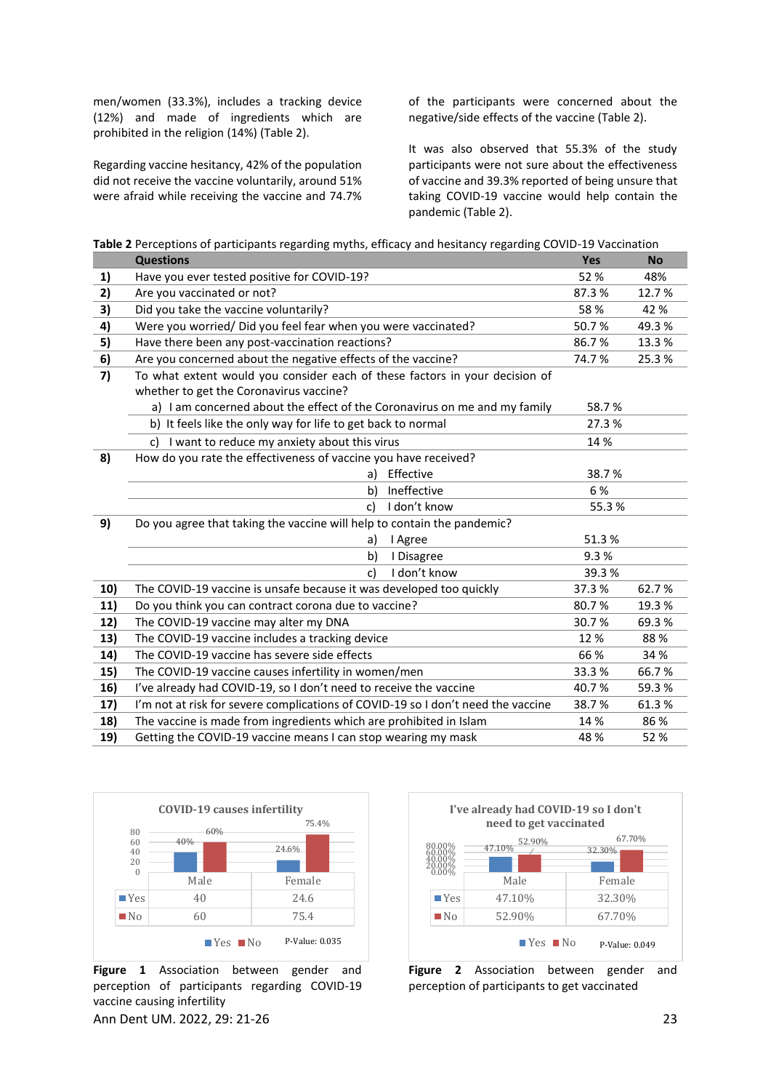men/women (33.3%), includes a tracking device (12%) and made of ingredients which are prohibited in the religion (14%) (Table 2).

Regarding vaccine hesitancy, 42% of the population did not receive the vaccine voluntarily, around 51% were afraid while receiving the vaccine and 74.7%

of the participants were concerned about the negative/side effects of the vaccine (Table 2).

It was also observed that 55.3% of the study participants were not sure about the effectiveness of vaccine and 39.3% reported of being unsure that taking COVID-19 vaccine would help contain the pandemic (Table 2).

|  | Table 2 Perceptions of participants regarding myths, efficacy and hesitancy regarding COVID-19 Vaccination |
|--|------------------------------------------------------------------------------------------------------------|
|--|------------------------------------------------------------------------------------------------------------|

|     | <b>Questions</b>                                                                 | Yes    | <b>No</b> |
|-----|----------------------------------------------------------------------------------|--------|-----------|
| 1)  | Have you ever tested positive for COVID-19?                                      | 52%    | 48%       |
| 2)  | Are you vaccinated or not?                                                       | 87.3%  | 12.7 %    |
| 3)  | Did you take the vaccine voluntarily?                                            | 58%    | 42 %      |
| 4)  | Were you worried/ Did you feel fear when you were vaccinated?                    | 50.7%  | 49.3%     |
| 5)  | Have there been any post-vaccination reactions?                                  | 86.7%  | 13.3%     |
| 6)  | Are you concerned about the negative effects of the vaccine?                     | 74.7%  | 25.3%     |
| 7)  | To what extent would you consider each of these factors in your decision of      |        |           |
|     | whether to get the Coronavirus vaccine?                                          |        |           |
|     | a) I am concerned about the effect of the Coronavirus on me and my family        | 58.7%  |           |
|     | b) It feels like the only way for life to get back to normal                     | 27.3 % |           |
|     | c) I want to reduce my anxiety about this virus                                  | 14 %   |           |
| 8)  | How do you rate the effectiveness of vaccine you have received?                  |        |           |
|     | Effective<br>a)                                                                  | 38.7%  |           |
|     | Ineffective<br>b)                                                                | 6%     |           |
|     | I don't know<br>C)                                                               | 55.3%  |           |
| 9)  | Do you agree that taking the vaccine will help to contain the pandemic?          |        |           |
|     | I Agree<br>a)                                                                    | 51.3%  |           |
|     | b)<br>I Disagree                                                                 | 9.3%   |           |
|     | I don't know<br>c)                                                               | 39.3%  |           |
| 10) | The COVID-19 vaccine is unsafe because it was developed too quickly              | 37.3%  | 62.7%     |
| 11) | Do you think you can contract corona due to vaccine?                             | 80.7%  | 19.3%     |
| 12) | The COVID-19 vaccine may alter my DNA                                            | 30.7%  | 69.3%     |
| 13) | The COVID-19 vaccine includes a tracking device                                  | 12 %   | 88 %      |
| 14) | The COVID-19 vaccine has severe side effects                                     | 66 %   | 34 %      |
| 15) | The COVID-19 vaccine causes infertility in women/men                             | 33.3%  | 66.7%     |
| 16) | I've already had COVID-19, so I don't need to receive the vaccine                | 40.7%  | 59.3%     |
| 17) | I'm not at risk for severe complications of COVID-19 so I don't need the vaccine | 38.7%  | 61.3%     |
| 18) | The vaccine is made from ingredients which are prohibited in Islam               | 14 %   | 86 %      |
| 19) | Getting the COVID-19 vaccine means I can stop wearing my mask                    | 48 %   | 52 %      |



Ann Dent UM. 2022, 29: 21-26 23 **Figure 1** Association between gender and perception of participants regarding COVID-19 vaccine causing infertility



**Figure 2** Association between gender and perception of participants to get vaccinated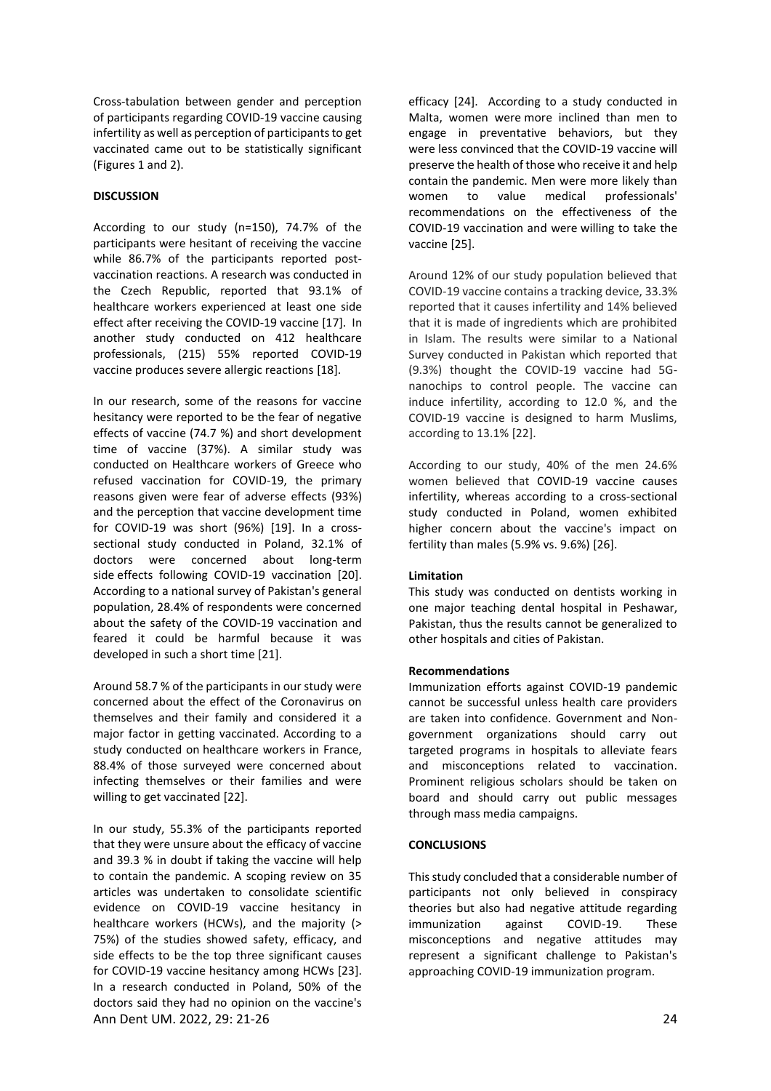Cross-tabulation between gender and perception of participants regarding COVID-19 vaccine causing infertility as well as perception of participants to get vaccinated came out to be statistically significant (Figures 1 and 2).

# **DISCUSSION**

According to our study (n=150), 74.7% of the participants were hesitant of receiving the vaccine while 86.7% of the participants reported postvaccination reactions. A research was conducted in the Czech Republic, reported that 93.1% of healthcare workers experienced at least one side effect after receiving the COVID-19 vaccine [17]. In another study conducted on 412 healthcare professionals, (215) 55% reported COVID-19 vaccine produces severe allergic reactions [18].

In our research, some of the reasons for vaccine hesitancy were reported to be the fear of negative effects of vaccine (74.7 %) and short development time of vaccine (37%). A similar study was conducted on Healthcare workers of Greece who refused vaccination for COVID-19, the primary reasons given were fear of adverse effects (93%) and the perception that vaccine development time for COVID-19 was short (96%) [19]. In a crosssectional study conducted in Poland, 32.1% of doctors were concerned about long-term side effects following COVID-19 vaccination [20]. According to a national survey of Pakistan's general population, 28.4% of respondents were concerned about the safety of the COVID-19 vaccination and feared it could be harmful because it was developed in such a short time [21].

Around 58.7 % of the participants in our study were concerned about the effect of the Coronavirus on themselves and their family and considered it a major factor in getting vaccinated. According to a study conducted on healthcare workers in France, 88.4% of those surveyed were concerned about infecting themselves or their families and were willing to get vaccinated [22].

Ann Dent UM. 2022, 29: 21-26 24 In our study, 55.3% of the participants reported that they were unsure about the efficacy of vaccine and 39.3 % in doubt if taking the vaccine will help to contain the pandemic. A scoping review on 35 articles was undertaken to consolidate scientific evidence on COVID-19 vaccine hesitancy in healthcare workers (HCWs), and the majority (> 75%) of the studies showed safety, efficacy, and side effects to be the top three significant causes for COVID-19 vaccine hesitancy among HCWs [23]. In a research conducted in Poland, 50% of the doctors said they had no opinion on the vaccine's

efficacy [24]. According to a study conducted in Malta, women were more inclined than men to engage in preventative behaviors, but they were less convinced that the COVID-19 vaccine will preserve the health of those who receive it and help contain the pandemic. Men were more likely than women to value medical professionals' recommendations on the effectiveness of the COVID-19 vaccination and were willing to take the vaccine [25].

Around 12% of our study population believed that COVID-19 vaccine contains a tracking device, 33.3% reported that it causes infertility and 14% believed that it is made of ingredients which are prohibited in Islam. The results were similar to a National Survey conducted in Pakistan which reported that (9.3%) thought the COVID-19 vaccine had 5Gnanochips to control people. The vaccine can induce infertility, according to 12.0 %, and the COVID-19 vaccine is designed to harm Muslims, according to 13.1% [22].

According to our study, 40% of the men 24.6% women believed that COVID-19 vaccine causes infertility, whereas according to a cross-sectional study conducted in Poland, women exhibited higher concern about the vaccine's impact on fertility than males (5.9% vs. 9.6%) [26].

# **Limitation**

This study was conducted on dentists working in one major teaching dental hospital in Peshawar, Pakistan, thus the results cannot be generalized to other hospitals and cities of Pakistan.

# **Recommendations**

Immunization efforts against COVID-19 pandemic cannot be successful unless health care providers are taken into confidence. Government and Nongovernment organizations should carry out targeted programs in hospitals to alleviate fears and misconceptions related to vaccination. Prominent religious scholars should be taken on board and should carry out public messages through mass media campaigns.

# **CONCLUSIONS**

This study concluded that a considerable number of participants not only believed in conspiracy theories but also had negative attitude regarding immunization against COVID-19. These misconceptions and negative attitudes may represent a significant challenge to Pakistan's approaching COVID-19 immunization program.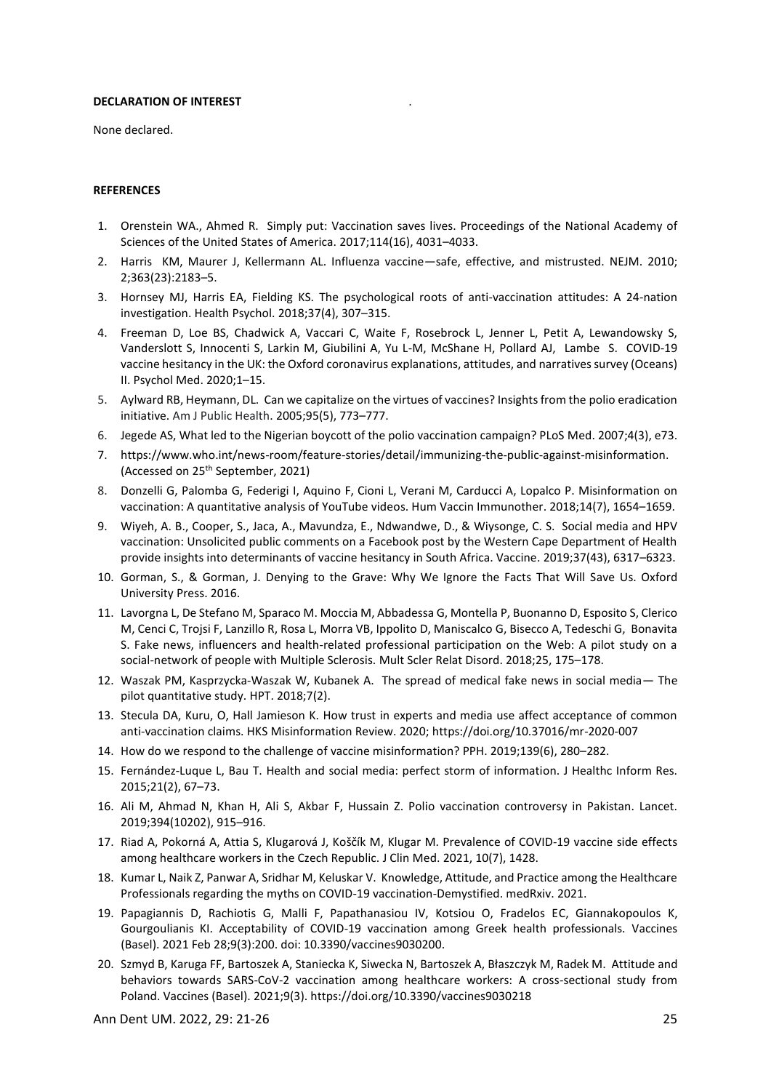#### **DECLARATION OF INTEREST**

None declared.

#### **REFERENCES**

1. Orenstein WA., Ahmed R. Simply put: Vaccination saves lives. Proceedings of the National Academy of Sciences of the United States of America. 2017;114(16), 4031–4033.

.

- 2. Harris KM, Maurer J, Kellermann AL. Influenza vaccine—safe, effective, and mistrusted. NEJM. 2010; 2;363(23):2183–5.
- 3. Hornsey MJ, Harris EA, Fielding KS. The psychological roots of anti-vaccination attitudes: A 24-nation investigation. Health Psychol. 2018;37(4), 307–315.
- 4. Freeman D, Loe BS, Chadwick A, Vaccari C, Waite F, Rosebrock L, Jenner L, Petit A, Lewandowsky S, Vanderslott S, Innocenti S, Larkin M, Giubilini A, Yu L-M, McShane H, Pollard AJ, Lambe S. COVID-19 vaccine hesitancy in the UK: the Oxford coronavirus explanations, attitudes, and narratives survey (Oceans) II. Psychol Med. 2020;1–15.
- 5. Aylward RB, Heymann, DL. Can we capitalize on the virtues of vaccines? Insights from the polio eradication initiative. Am J Public Health. 2005;95(5), 773–777.
- 6. Jegede AS, What led to the Nigerian boycott of the polio vaccination campaign? PLoS Med. 2007;4(3), e73.
- 7. https://www.who.int/news-room/feature-stories/detail/immunizing-the-public-against-misinformation. (Accessed on 25th September, 2021)
- 8. Donzelli G, Palomba G, Federigi I, Aquino F, Cioni L, Verani M, Carducci A, Lopalco P. Misinformation on vaccination: A quantitative analysis of YouTube videos. Hum Vaccin Immunother. 2018;14(7), 1654–1659.
- 9. Wiyeh, A. B., Cooper, S., Jaca, A., Mavundza, E., Ndwandwe, D., & Wiysonge, C. S. Social media and HPV vaccination: Unsolicited public comments on a Facebook post by the Western Cape Department of Health provide insights into determinants of vaccine hesitancy in South Africa. Vaccine. 2019;37(43), 6317–6323.
- 10. Gorman, S., & Gorman, J. Denying to the Grave: Why We Ignore the Facts That Will Save Us. Oxford University Press. 2016.
- 11. Lavorgna L, De Stefano M, Sparaco M. Moccia M, Abbadessa G, Montella P, Buonanno D, Esposito S, Clerico M, Cenci C, Trojsi F, Lanzillo R, Rosa L, Morra VB, Ippolito D, Maniscalco G, Bisecco A, Tedeschi G, Bonavita S. Fake news, influencers and health-related professional participation on the Web: A pilot study on a social-network of people with Multiple Sclerosis. Mult Scler Relat Disord. 2018;25, 175–178.
- 12. Waszak PM, Kasprzycka-Waszak W, Kubanek A. The spread of medical fake news in social media— The pilot quantitative study. HPT. 2018;7(2).
- 13. Stecula DA, Kuru, O, Hall Jamieson K. How trust in experts and media use affect acceptance of common anti-vaccination claims. HKS Misinformation Review. 2020; https://doi.org/10.37016/mr-2020-007
- 14. How do we respond to the challenge of vaccine misinformation? PPH. 2019;139(6), 280–282.
- 15. Fernández-Luque L, Bau T. Health and social media: perfect storm of information. J Healthc Inform Res. 2015;21(2), 67–73.
- 16. Ali M, Ahmad N, Khan H, Ali S, Akbar F, Hussain Z. Polio vaccination controversy in Pakistan. Lancet. 2019;394(10202), 915–916.
- 17. Riad A, Pokorná A, Attia S, Klugarová J, Koščík M, Klugar M. Prevalence of COVID-19 vaccine side effects among healthcare workers in the Czech Republic. J Clin Med. 2021, 10(7), 1428.
- 18. Kumar L, Naik Z, Panwar A, Sridhar M, Keluskar V. Knowledge, Attitude, and Practice among the Healthcare Professionals regarding the myths on COVID-19 vaccination-Demystified. medRxiv. 2021.
- 19. Papagiannis D, Rachiotis G, Malli F, Papathanasiou IV, Kotsiou O, Fradelos EC, Giannakopoulos K, Gourgoulianis KI. Acceptability of COVID-19 vaccination among Greek health professionals. Vaccines (Basel). 2021 Feb 28;9(3):200. doi: 10.3390/vaccines9030200.
- 20. Szmyd B, Karuga FF, Bartoszek A, Staniecka K, Siwecka N, Bartoszek A, Błaszczyk M, Radek M. Attitude and behaviors towards SARS-CoV-2 vaccination among healthcare workers: A cross-sectional study from Poland. Vaccines (Basel). 2021;9(3). https://doi.org/10.3390/vaccines9030218